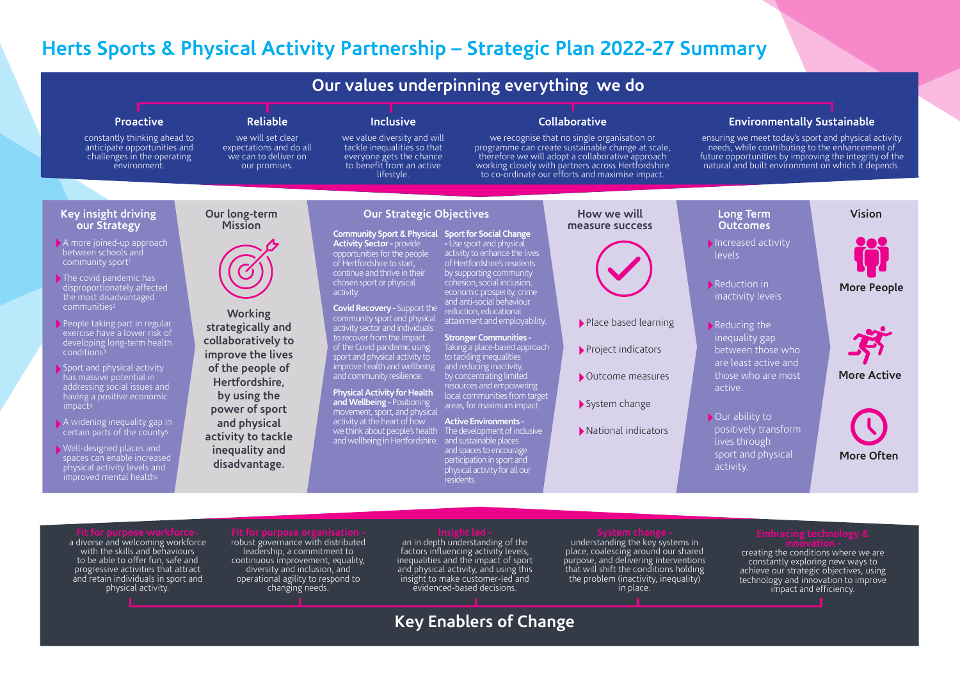## **Herts Sports & Physical Activity Partnership – Strategic Plan 2022-27 Summary**

### **Long Term Outcomes** Increased activity levels Reduction in inactivity levels Reducing the inequality gap between those who are least active and those who are most active. Our ability to positively transform lives through sport and physical activity. **How we will measure success**  Place based learning Project indicators Outcome measures System change National indicators **Key insight driving our Strategy Our long-term Mission Vision Working strategically and collaboratively to improve the lives of the people of Hertfordshire, by using the power of sport and physical activity to tackle inequality and disadvantage. Proactive**  constantly thinking ahead to anticipate opportunities and challenges in the operating environment. **Reliable**  we will set clear expectations and do all we can to deliver on our promises. **Inclusive**  we value diversity and will tackle inequalities so that everyone gets the chance to benefit from an active lifestyle. **Collaborative** we recognise that no single organisation or programme can create sustainable change at scale, therefore we will adopt a collaborative approach working closely with partners across Hertfordshire to co-ordinate our efforts and maximise impact. **Environmentally Sustainable**  ensuring we meet today's sport and physical activity needs, while contributing to the enhancement of future opportunities by improving the integrity of the natural and built environment on which it depends. **Our values underpinning everything we do** A more joined-up approach between schools and The covid pandemic has disproportionately affected the most disadvantaged communities2 People taking part in regular exercise have a lower risk of developing long-term health conditions3 Sport and physical activity has massive potential in addressing social issues and having a positive economic impact4 A widening inequality gap in certain parts of the county5 Well-designed places and spaces can enable increased physical activity levels and improved mental health<sup>6</sup> **Our Strategic Objectives Community Sport & Physical Activity Sector -** provide opportunities for the people of Hertfordshire to start, continue and thrive in their chosen sport or physical activity. **Covid Recovery -** Support the community sport and physical activity sector and individuals to recover from the impact of the Covid pandemic using sport and physical activity to improve health and wellbeing and community resilience. **Physical Activity for Health and Wellbeing -** Positioning movement, sport, and physical activity at the heart of how we think about people's health and wellbeing in Hertfordshire. and sustainable places **Sport for Social Change -** Use sport and physical - Use sport and physical<br>activity to enhance the lives of Hertfordshire's residents by supporting community cohesion, social inclusion, economic prosperity, crime and anti-social behaviour reduction, educational attainment and employability. **Stronger Communities -**  Taking a place-based approach to tackling inequalities and reducing inactivity, by concentrating limited resources and empowering local communities from target areas, for maximum impact. **Active Environments -**  The development of inclusive and spaces to encourage participation in sport and participation in sport and<br>physical activity for all our residents. **More People More Active More Often**

a diverse and welcoming workforce

with the skills and behaviours to be able to offer fun, safe and progressive activities that attract and retain individuals in sport and physical activity.

### robust governance with distributed leadership, a commitment to continuous improvement, equality, diversity and inclusion, and operational agility to respond to changing needs.

an in depth understanding of the factors influencing activity levels, inequalities and the impact of sport and physical activity, and using this insight to make customer-led and evidenced-based decisions.

understanding the key systems in place, coalescing around our shared purpose, and delivering interventions that will shift the conditions holding the problem (inactivity, inequality) in place.

creating the conditions where we are constantly exploring new ways to achieve our strategic objectives, using technology and innovation to improve impact and efficiency.

# **Key Enablers of Change**